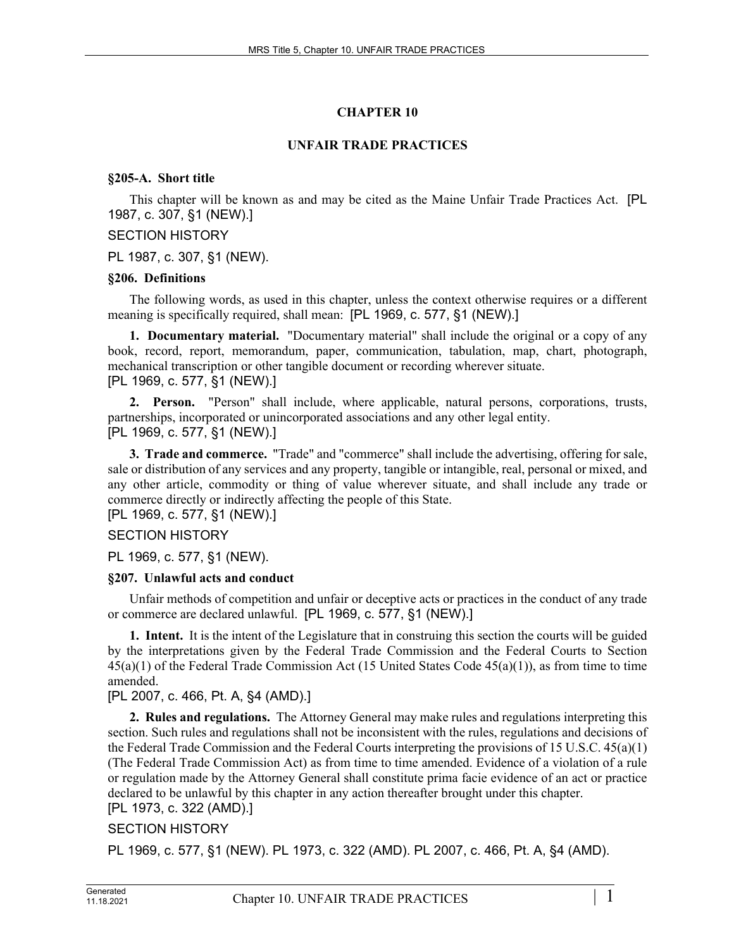# **CHAPTER 10**

#### **UNFAIR TRADE PRACTICES**

#### **§205-A. Short title**

This chapter will be known as and may be cited as the Maine Unfair Trade Practices Act. [PL 1987, c. 307, §1 (NEW).]

#### SECTION HISTORY

PL 1987, c. 307, §1 (NEW).

#### **§206. Definitions**

The following words, as used in this chapter, unless the context otherwise requires or a different meaning is specifically required, shall mean: [PL 1969, c. 577, §1 (NEW).]

**1. Documentary material.** "Documentary material" shall include the original or a copy of any book, record, report, memorandum, paper, communication, tabulation, map, chart, photograph, mechanical transcription or other tangible document or recording wherever situate. [PL 1969, c. 577, §1 (NEW).]

**2. Person.** "Person" shall include, where applicable, natural persons, corporations, trusts, partnerships, incorporated or unincorporated associations and any other legal entity. [PL 1969, c. 577, §1 (NEW).]

**3. Trade and commerce.** "Trade" and "commerce" shall include the advertising, offering for sale, sale or distribution of any services and any property, tangible or intangible, real, personal or mixed, and any other article, commodity or thing of value wherever situate, and shall include any trade or commerce directly or indirectly affecting the people of this State.

[PL 1969, c. 577, §1 (NEW).]

## SECTION HISTORY

PL 1969, c. 577, §1 (NEW).

#### **§207. Unlawful acts and conduct**

Unfair methods of competition and unfair or deceptive acts or practices in the conduct of any trade or commerce are declared unlawful. [PL 1969, c. 577, §1 (NEW).]

**1. Intent.** It is the intent of the Legislature that in construing this section the courts will be guided by the interpretations given by the Federal Trade Commission and the Federal Courts to Section  $45(a)(1)$  of the Federal Trade Commission Act (15 United States Code  $45(a)(1)$ ), as from time to time amended.

## [PL 2007, c. 466, Pt. A, §4 (AMD).]

**2. Rules and regulations.** The Attorney General may make rules and regulations interpreting this section. Such rules and regulations shall not be inconsistent with the rules, regulations and decisions of the Federal Trade Commission and the Federal Courts interpreting the provisions of 15 U.S.C. 45(a)(1) (The Federal Trade Commission Act) as from time to time amended. Evidence of a violation of a rule or regulation made by the Attorney General shall constitute prima facie evidence of an act or practice declared to be unlawful by this chapter in any action thereafter brought under this chapter. [PL 1973, c. 322 (AMD).]

## SECTION HISTORY

PL 1969, c. 577, §1 (NEW). PL 1973, c. 322 (AMD). PL 2007, c. 466, Pt. A, §4 (AMD).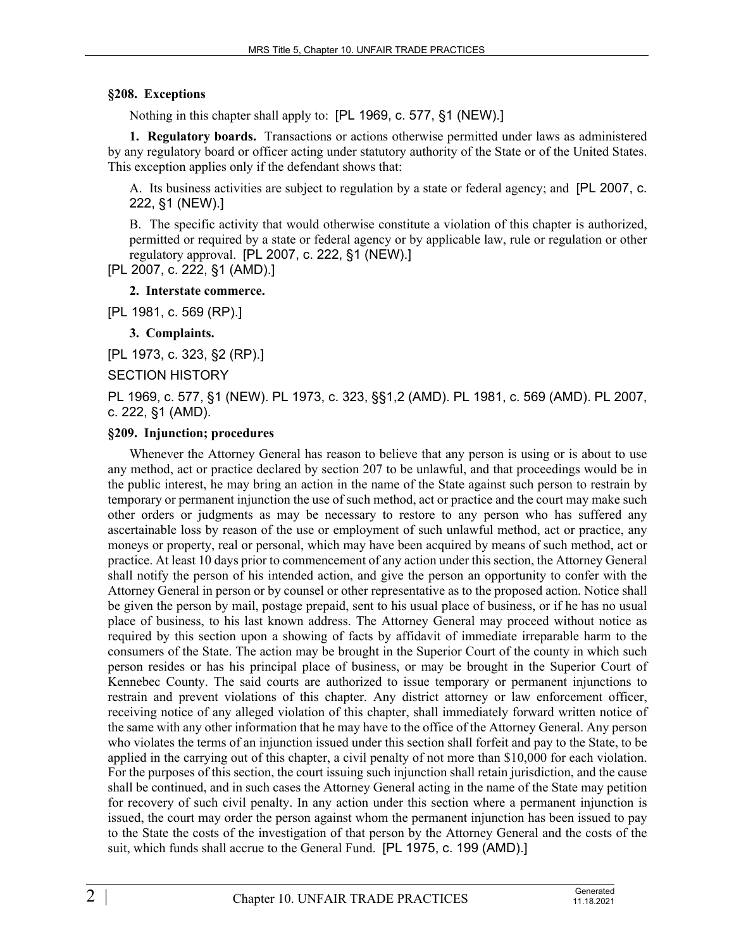#### **§208. Exceptions**

Nothing in this chapter shall apply to: [PL 1969, c. 577, §1 (NEW).]

**1. Regulatory boards.** Transactions or actions otherwise permitted under laws as administered by any regulatory board or officer acting under statutory authority of the State or of the United States. This exception applies only if the defendant shows that:

A. Its business activities are subject to regulation by a state or federal agency; and [PL 2007, c. 222, §1 (NEW).]

B. The specific activity that would otherwise constitute a violation of this chapter is authorized, permitted or required by a state or federal agency or by applicable law, rule or regulation or other regulatory approval. [PL 2007, c. 222, §1 (NEW).]

[PL 2007, c. 222, §1 (AMD).]

#### **2. Interstate commerce.**

[PL 1981, c. 569 (RP).]

**3. Complaints.** 

[PL 1973, c. 323, §2 (RP).]

SECTION HISTORY

PL 1969, c. 577, §1 (NEW). PL 1973, c. 323, §§1,2 (AMD). PL 1981, c. 569 (AMD). PL 2007, c. 222, §1 (AMD).

#### **§209. Injunction; procedures**

Whenever the Attorney General has reason to believe that any person is using or is about to use any method, act or practice declared by section 207 to be unlawful, and that proceedings would be in the public interest, he may bring an action in the name of the State against such person to restrain by temporary or permanent injunction the use of such method, act or practice and the court may make such other orders or judgments as may be necessary to restore to any person who has suffered any ascertainable loss by reason of the use or employment of such unlawful method, act or practice, any moneys or property, real or personal, which may have been acquired by means of such method, act or practice. At least 10 days prior to commencement of any action under this section, the Attorney General shall notify the person of his intended action, and give the person an opportunity to confer with the Attorney General in person or by counsel or other representative as to the proposed action. Notice shall be given the person by mail, postage prepaid, sent to his usual place of business, or if he has no usual place of business, to his last known address. The Attorney General may proceed without notice as required by this section upon a showing of facts by affidavit of immediate irreparable harm to the consumers of the State. The action may be brought in the Superior Court of the county in which such person resides or has his principal place of business, or may be brought in the Superior Court of Kennebec County. The said courts are authorized to issue temporary or permanent injunctions to restrain and prevent violations of this chapter. Any district attorney or law enforcement officer, receiving notice of any alleged violation of this chapter, shall immediately forward written notice of the same with any other information that he may have to the office of the Attorney General. Any person who violates the terms of an injunction issued under this section shall forfeit and pay to the State, to be applied in the carrying out of this chapter, a civil penalty of not more than \$10,000 for each violation. For the purposes of this section, the court issuing such injunction shall retain jurisdiction, and the cause shall be continued, and in such cases the Attorney General acting in the name of the State may petition for recovery of such civil penalty. In any action under this section where a permanent injunction is issued, the court may order the person against whom the permanent injunction has been issued to pay to the State the costs of the investigation of that person by the Attorney General and the costs of the suit, which funds shall accrue to the General Fund. [PL 1975, c. 199 (AMD).]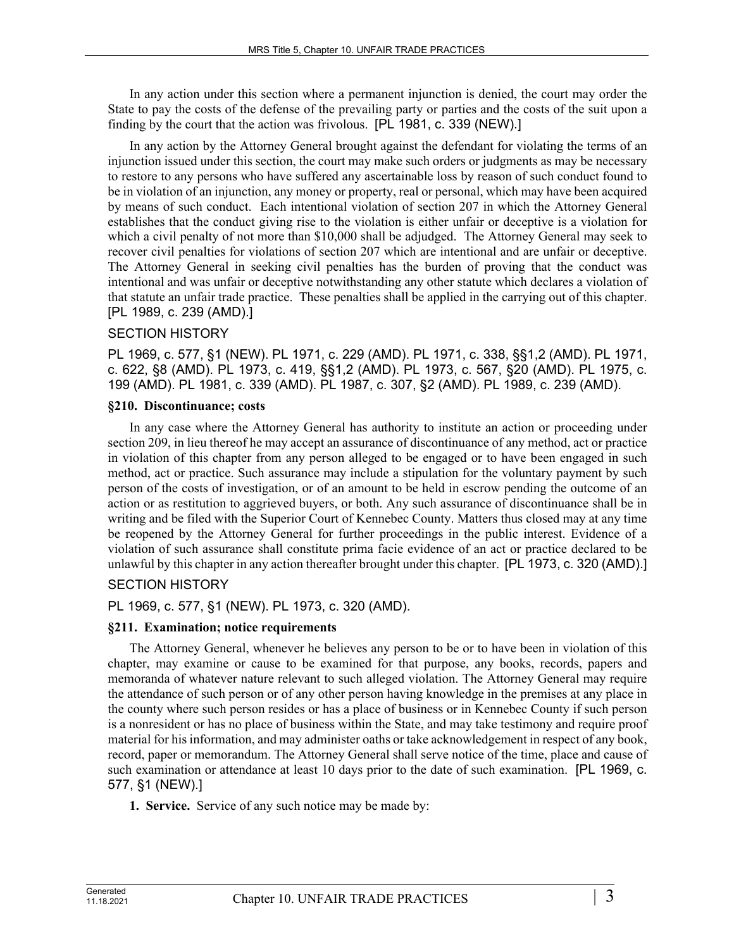In any action under this section where a permanent injunction is denied, the court may order the State to pay the costs of the defense of the prevailing party or parties and the costs of the suit upon a finding by the court that the action was frivolous. [PL 1981, c. 339 (NEW).]

In any action by the Attorney General brought against the defendant for violating the terms of an injunction issued under this section, the court may make such orders or judgments as may be necessary to restore to any persons who have suffered any ascertainable loss by reason of such conduct found to be in violation of an injunction, any money or property, real or personal, which may have been acquired by means of such conduct. Each intentional violation of section 207 in which the Attorney General establishes that the conduct giving rise to the violation is either unfair or deceptive is a violation for which a civil penalty of not more than \$10,000 shall be adjudged. The Attorney General may seek to recover civil penalties for violations of section 207 which are intentional and are unfair or deceptive. The Attorney General in seeking civil penalties has the burden of proving that the conduct was intentional and was unfair or deceptive notwithstanding any other statute which declares a violation of that statute an unfair trade practice. These penalties shall be applied in the carrying out of this chapter. [PL 1989, c. 239 (AMD).]

## SECTION HISTORY

PL 1969, c. 577, §1 (NEW). PL 1971, c. 229 (AMD). PL 1971, c. 338, §§1,2 (AMD). PL 1971, c. 622, §8 (AMD). PL 1973, c. 419, §§1,2 (AMD). PL 1973, c. 567, §20 (AMD). PL 1975, c. 199 (AMD). PL 1981, c. 339 (AMD). PL 1987, c. 307, §2 (AMD). PL 1989, c. 239 (AMD).

#### **§210. Discontinuance; costs**

In any case where the Attorney General has authority to institute an action or proceeding under section 209, in lieu thereof he may accept an assurance of discontinuance of any method, act or practice in violation of this chapter from any person alleged to be engaged or to have been engaged in such method, act or practice. Such assurance may include a stipulation for the voluntary payment by such person of the costs of investigation, or of an amount to be held in escrow pending the outcome of an action or as restitution to aggrieved buyers, or both. Any such assurance of discontinuance shall be in writing and be filed with the Superior Court of Kennebec County. Matters thus closed may at any time be reopened by the Attorney General for further proceedings in the public interest. Evidence of a violation of such assurance shall constitute prima facie evidence of an act or practice declared to be unlawful by this chapter in any action thereafter brought under this chapter. [PL 1973, c. 320 (AMD).]

# SECTION HISTORY

PL 1969, c. 577, §1 (NEW). PL 1973, c. 320 (AMD).

## **§211. Examination; notice requirements**

The Attorney General, whenever he believes any person to be or to have been in violation of this chapter, may examine or cause to be examined for that purpose, any books, records, papers and memoranda of whatever nature relevant to such alleged violation. The Attorney General may require the attendance of such person or of any other person having knowledge in the premises at any place in the county where such person resides or has a place of business or in Kennebec County if such person is a nonresident or has no place of business within the State, and may take testimony and require proof material for his information, and may administer oaths or take acknowledgement in respect of any book, record, paper or memorandum. The Attorney General shall serve notice of the time, place and cause of such examination or attendance at least 10 days prior to the date of such examination. [PL 1969, c. 577, §1 (NEW).]

**1. Service.** Service of any such notice may be made by: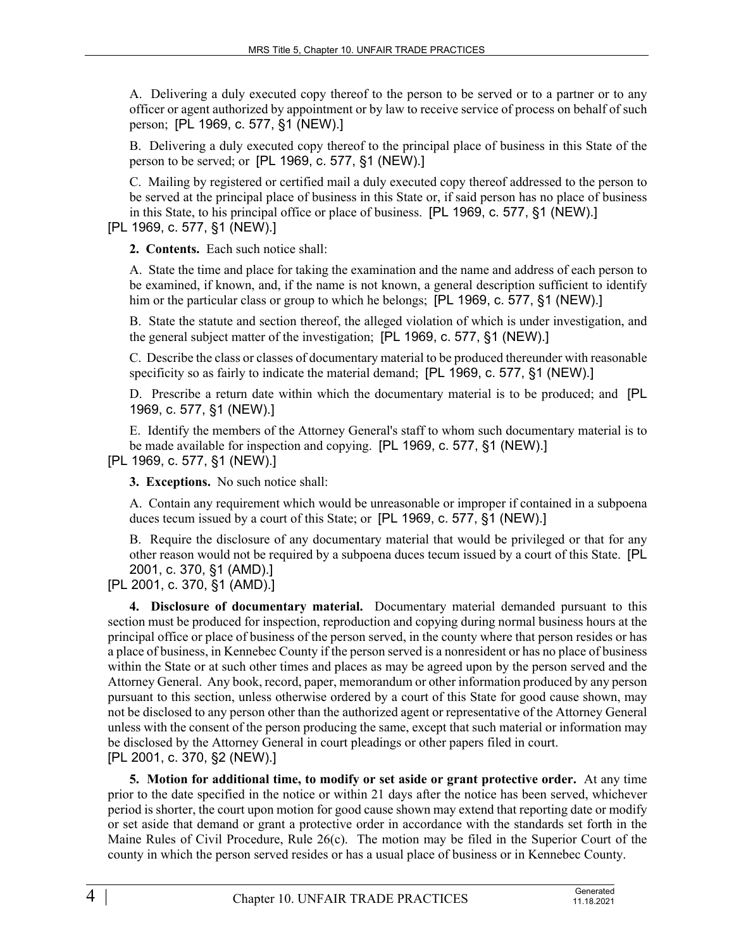A. Delivering a duly executed copy thereof to the person to be served or to a partner or to any officer or agent authorized by appointment or by law to receive service of process on behalf of such person; [PL 1969, c. 577, §1 (NEW).]

B. Delivering a duly executed copy thereof to the principal place of business in this State of the person to be served; or [PL 1969, c. 577, §1 (NEW).]

C. Mailing by registered or certified mail a duly executed copy thereof addressed to the person to be served at the principal place of business in this State or, if said person has no place of business in this State, to his principal office or place of business. [PL 1969, c. 577, §1 (NEW).] [PL 1969, c. 577, §1 (NEW).]

**2. Contents.** Each such notice shall:

A. State the time and place for taking the examination and the name and address of each person to be examined, if known, and, if the name is not known, a general description sufficient to identify him or the particular class or group to which he belongs; [PL 1969, c. 577, §1 (NEW).]

B. State the statute and section thereof, the alleged violation of which is under investigation, and the general subject matter of the investigation; [PL 1969, c. 577, §1 (NEW).]

C. Describe the class or classes of documentary material to be produced thereunder with reasonable specificity so as fairly to indicate the material demand; [PL 1969, c. 577, §1 (NEW).]

D. Prescribe a return date within which the documentary material is to be produced; and [PL 1969, c. 577, §1 (NEW).]

E. Identify the members of the Attorney General's staff to whom such documentary material is to be made available for inspection and copying. [PL 1969, c. 577, §1 (NEW).]

[PL 1969, c. 577, §1 (NEW).]

**3. Exceptions.** No such notice shall:

A. Contain any requirement which would be unreasonable or improper if contained in a subpoena duces tecum issued by a court of this State; or [PL 1969, c. 577, §1 (NEW).]

B. Require the disclosure of any documentary material that would be privileged or that for any other reason would not be required by a subpoena duces tecum issued by a court of this State. [PL 2001, c. 370, §1 (AMD).]

[PL 2001, c. 370, §1 (AMD).]

**4. Disclosure of documentary material.** Documentary material demanded pursuant to this section must be produced for inspection, reproduction and copying during normal business hours at the principal office or place of business of the person served, in the county where that person resides or has a place of business, in Kennebec County if the person served is a nonresident or has no place of business within the State or at such other times and places as may be agreed upon by the person served and the Attorney General. Any book, record, paper, memorandum or other information produced by any person pursuant to this section, unless otherwise ordered by a court of this State for good cause shown, may not be disclosed to any person other than the authorized agent or representative of the Attorney General unless with the consent of the person producing the same, except that such material or information may be disclosed by the Attorney General in court pleadings or other papers filed in court. [PL 2001, c. 370, §2 (NEW).]

**5. Motion for additional time, to modify or set aside or grant protective order.** At any time prior to the date specified in the notice or within 21 days after the notice has been served, whichever period is shorter, the court upon motion for good cause shown may extend that reporting date or modify or set aside that demand or grant a protective order in accordance with the standards set forth in the Maine Rules of Civil Procedure, Rule  $26(c)$ . The motion may be filed in the Superior Court of the county in which the person served resides or has a usual place of business or in Kennebec County.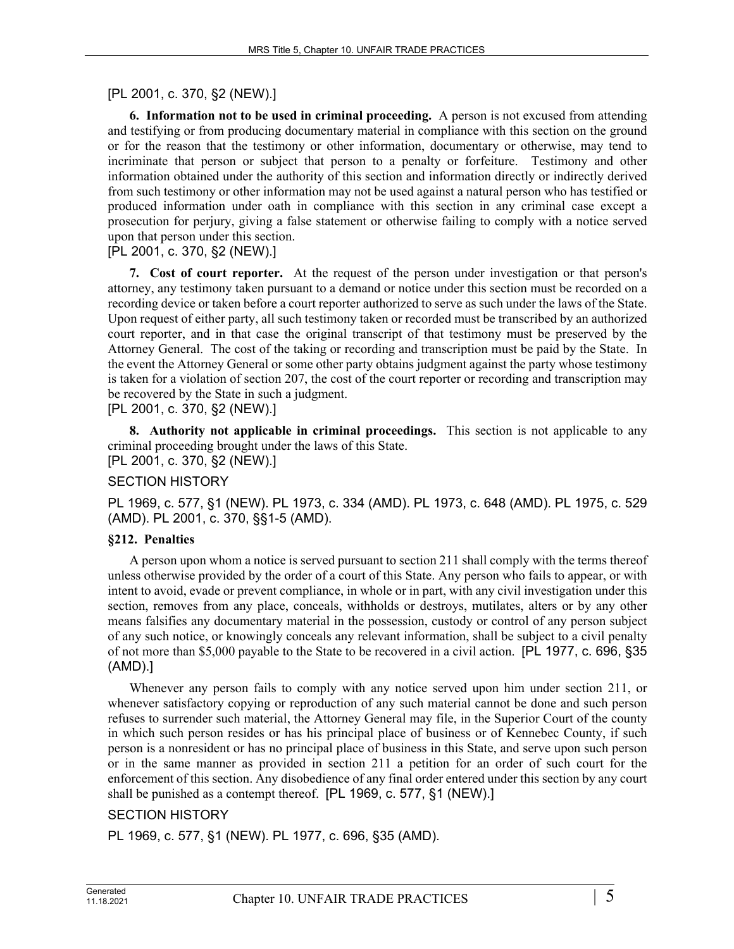# [PL 2001, c. 370, §2 (NEW).]

**6. Information not to be used in criminal proceeding.** A person is not excused from attending and testifying or from producing documentary material in compliance with this section on the ground or for the reason that the testimony or other information, documentary or otherwise, may tend to incriminate that person or subject that person to a penalty or forfeiture. Testimony and other information obtained under the authority of this section and information directly or indirectly derived from such testimony or other information may not be used against a natural person who has testified or produced information under oath in compliance with this section in any criminal case except a prosecution for perjury, giving a false statement or otherwise failing to comply with a notice served upon that person under this section.

# [PL 2001, c. 370, §2 (NEW).]

**7. Cost of court reporter.** At the request of the person under investigation or that person's attorney, any testimony taken pursuant to a demand or notice under this section must be recorded on a recording device or taken before a court reporter authorized to serve as such under the laws of the State. Upon request of either party, all such testimony taken or recorded must be transcribed by an authorized court reporter, and in that case the original transcript of that testimony must be preserved by the Attorney General. The cost of the taking or recording and transcription must be paid by the State. In the event the Attorney General or some other party obtains judgment against the party whose testimony is taken for a violation of section 207, the cost of the court reporter or recording and transcription may be recovered by the State in such a judgment.

# [PL 2001, c. 370, §2 (NEW).]

**8. Authority not applicable in criminal proceedings.** This section is not applicable to any criminal proceeding brought under the laws of this State.

# [PL 2001, c. 370, §2 (NEW).]

# SECTION HISTORY

PL 1969, c. 577, §1 (NEW). PL 1973, c. 334 (AMD). PL 1973, c. 648 (AMD). PL 1975, c. 529 (AMD). PL 2001, c. 370, §§1-5 (AMD).

#### **§212. Penalties**

A person upon whom a notice is served pursuant to section 211 shall comply with the terms thereof unless otherwise provided by the order of a court of this State. Any person who fails to appear, or with intent to avoid, evade or prevent compliance, in whole or in part, with any civil investigation under this section, removes from any place, conceals, withholds or destroys, mutilates, alters or by any other means falsifies any documentary material in the possession, custody or control of any person subject of any such notice, or knowingly conceals any relevant information, shall be subject to a civil penalty of not more than \$5,000 payable to the State to be recovered in a civil action. [PL 1977, c. 696, §35 (AMD).]

Whenever any person fails to comply with any notice served upon him under section 211, or whenever satisfactory copying or reproduction of any such material cannot be done and such person refuses to surrender such material, the Attorney General may file, in the Superior Court of the county in which such person resides or has his principal place of business or of Kennebec County, if such person is a nonresident or has no principal place of business in this State, and serve upon such person or in the same manner as provided in section 211 a petition for an order of such court for the enforcement of this section. Any disobedience of any final order entered under this section by any court shall be punished as a contempt thereof. [PL 1969, c. 577, §1 (NEW).]

## SECTION HISTORY

PL 1969, c. 577, §1 (NEW). PL 1977, c. 696, §35 (AMD).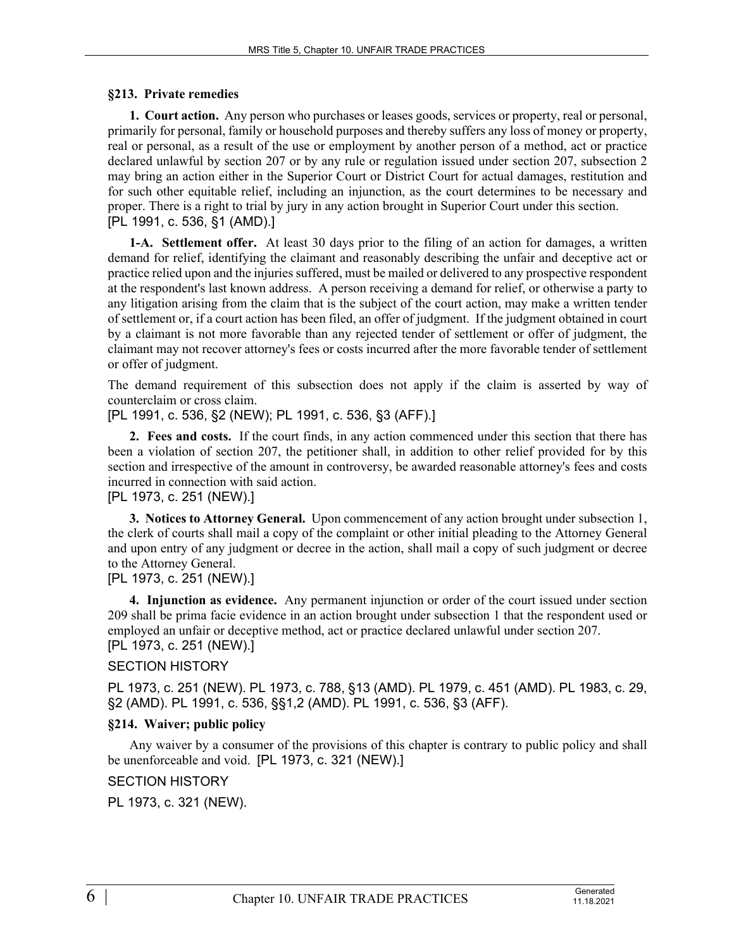#### **§213. Private remedies**

**1. Court action.** Any person who purchases or leases goods, services or property, real or personal, primarily for personal, family or household purposes and thereby suffers any loss of money or property, real or personal, as a result of the use or employment by another person of a method, act or practice declared unlawful by section 207 or by any rule or regulation issued under section 207, subsection 2 may bring an action either in the Superior Court or District Court for actual damages, restitution and for such other equitable relief, including an injunction, as the court determines to be necessary and proper. There is a right to trial by jury in any action brought in Superior Court under this section. [PL 1991, c. 536, §1 (AMD).]

**1-A. Settlement offer.** At least 30 days prior to the filing of an action for damages, a written demand for relief, identifying the claimant and reasonably describing the unfair and deceptive act or practice relied upon and the injuries suffered, must be mailed or delivered to any prospective respondent at the respondent's last known address. A person receiving a demand for relief, or otherwise a party to any litigation arising from the claim that is the subject of the court action, may make a written tender of settlement or, if a court action has been filed, an offer of judgment. If the judgment obtained in court by a claimant is not more favorable than any rejected tender of settlement or offer of judgment, the claimant may not recover attorney's fees or costs incurred after the more favorable tender of settlement or offer of judgment.

The demand requirement of this subsection does not apply if the claim is asserted by way of counterclaim or cross claim.

[PL 1991, c. 536, §2 (NEW); PL 1991, c. 536, §3 (AFF).]

**2. Fees and costs.** If the court finds, in any action commenced under this section that there has been a violation of section 207, the petitioner shall, in addition to other relief provided for by this section and irrespective of the amount in controversy, be awarded reasonable attorney's fees and costs incurred in connection with said action.

[PL 1973, c. 251 (NEW).]

**3. Notices to Attorney General.** Upon commencement of any action brought under subsection 1, the clerk of courts shall mail a copy of the complaint or other initial pleading to the Attorney General and upon entry of any judgment or decree in the action, shall mail a copy of such judgment or decree to the Attorney General.

#### [PL 1973, c. 251 (NEW).]

**4. Injunction as evidence.** Any permanent injunction or order of the court issued under section 209 shall be prima facie evidence in an action brought under subsection 1 that the respondent used or employed an unfair or deceptive method, act or practice declared unlawful under section 207. [PL 1973, c. 251 (NEW).]

#### SECTION HISTORY

PL 1973, c. 251 (NEW). PL 1973, c. 788, §13 (AMD). PL 1979, c. 451 (AMD). PL 1983, c. 29, §2 (AMD). PL 1991, c. 536, §§1,2 (AMD). PL 1991, c. 536, §3 (AFF).

#### **§214. Waiver; public policy**

Any waiver by a consumer of the provisions of this chapter is contrary to public policy and shall be unenforceable and void. [PL 1973, c. 321 (NEW).]

## SECTION HISTORY

PL 1973, c. 321 (NEW).